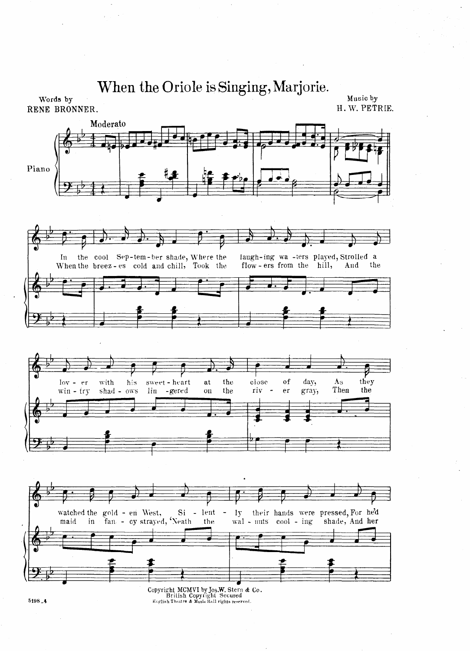$\sim$ 



5198\_4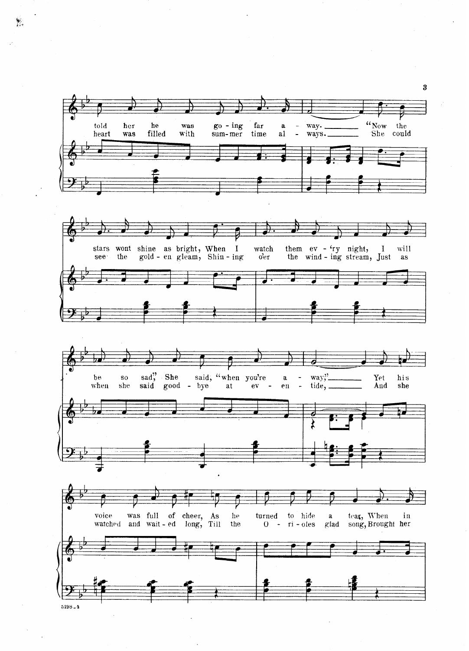

 $\frac{1}{2}$ 

 $\mathcal{P}$ 

 $\bf{3}$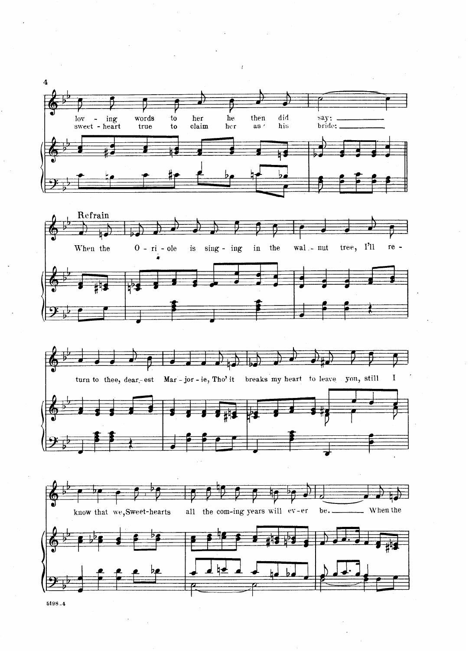

 $5198 - 4$